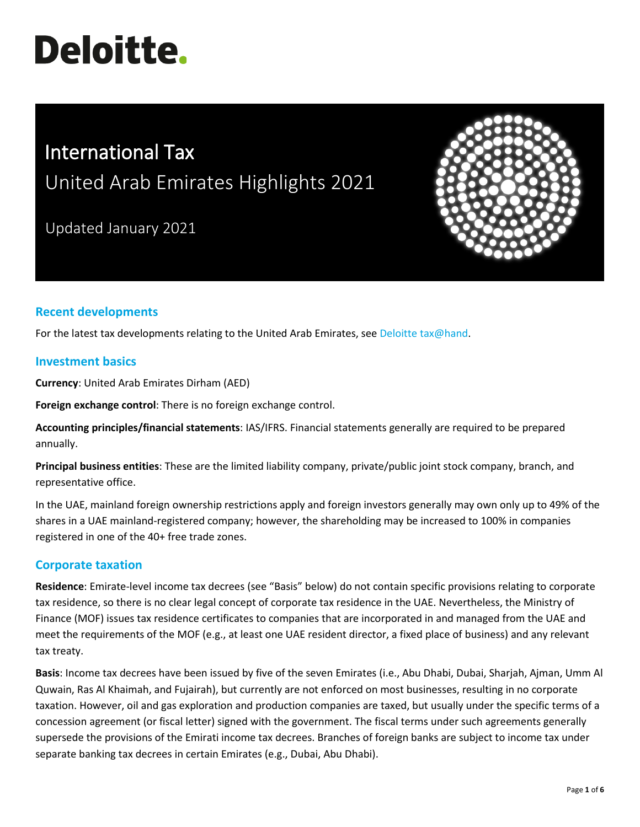# **Deloitte.**

# International Tax United Arab Emirates Highlights 2021

Updated January 2021



## **Recent developments**

For the latest tax developments relating to the United Arab Emirates, see [Deloitte tax@hand.](https://www.taxathand.com/world-news/United-Arab-Emirates)

#### **Investment basics**

**Currency**: United Arab Emirates Dirham (AED)

**Foreign exchange control**: There is no foreign exchange control.

**Accounting principles/financial statements**: IAS/IFRS. Financial statements generally are required to be prepared annually.

**Principal business entities**: These are the limited liability company, private/public joint stock company, branch, and representative office.

In the UAE, mainland foreign ownership restrictions apply and foreign investors generally may own only up to 49% of the shares in a UAE mainland-registered company; however, the shareholding may be increased to 100% in companies registered in one of the 40+ free trade zones.

### **Corporate taxation**

**Residence**: Emirate-level income tax decrees (see "Basis" below) do not contain specific provisions relating to corporate tax residence, so there is no clear legal concept of corporate tax residence in the UAE. Nevertheless, the Ministry of Finance (MOF) issues tax residence certificates to companies that are incorporated in and managed from the UAE and meet the requirements of the MOF (e.g., at least one UAE resident director, a fixed place of business) and any relevant tax treaty.

**Basis**: Income tax decrees have been issued by five of the seven Emirates (i.e., Abu Dhabi, Dubai, Sharjah, Ajman, Umm Al Quwain, Ras Al Khaimah, and Fujairah), but currently are not enforced on most businesses, resulting in no corporate taxation. However, oil and gas exploration and production companies are taxed, but usually under the specific terms of a concession agreement (or fiscal letter) signed with the government. The fiscal terms under such agreements generally supersede the provisions of the Emirati income tax decrees. Branches of foreign banks are subject to income tax under separate banking tax decrees in certain Emirates (e.g., Dubai, Abu Dhabi).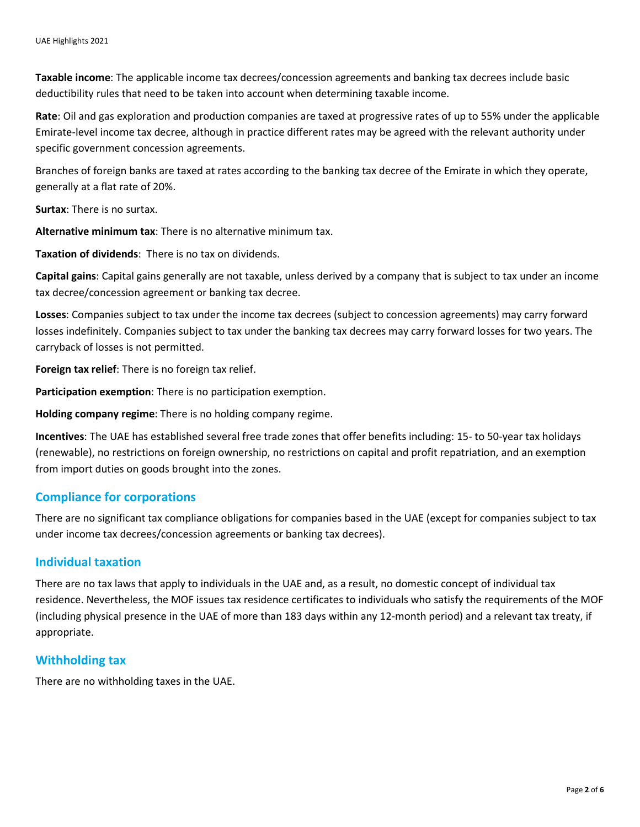**Taxable income**: The applicable income tax decrees/concession agreements and banking tax decrees include basic deductibility rules that need to be taken into account when determining taxable income.

**Rate**: Oil and gas exploration and production companies are taxed at progressive rates of up to 55% under the applicable Emirate-level income tax decree, although in practice different rates may be agreed with the relevant authority under specific government concession agreements.

Branches of foreign banks are taxed at rates according to the banking tax decree of the Emirate in which they operate, generally at a flat rate of 20%.

**Surtax**: There is no surtax.

**Alternative minimum tax**: There is no alternative minimum tax.

**Taxation of dividends**: There is no tax on dividends.

**Capital gains**: Capital gains generally are not taxable, unless derived by a company that is subject to tax under an income tax decree/concession agreement or banking tax decree.

**Losses**: Companies subject to tax under the income tax decrees (subject to concession agreements) may carry forward losses indefinitely. Companies subject to tax under the banking tax decrees may carry forward losses for two years. The carryback of losses is not permitted.

**Foreign tax relief**: There is no foreign tax relief.

**Participation exemption**: There is no participation exemption.

**Holding company regime**: There is no holding company regime.

**Incentives**: The UAE has established several free trade zones that offer benefits including: 15- to 50-year tax holidays (renewable), no restrictions on foreign ownership, no restrictions on capital and profit repatriation, and an exemption from import duties on goods brought into the zones.

#### **Compliance for corporations**

There are no significant tax compliance obligations for companies based in the UAE (except for companies subject to tax under income tax decrees/concession agreements or banking tax decrees).

#### **Individual taxation**

There are no tax laws that apply to individuals in the UAE and, as a result, no domestic concept of individual tax residence. Nevertheless, the MOF issues tax residence certificates to individuals who satisfy the requirements of the MOF (including physical presence in the UAE of more than 183 days within any 12-month period) and a relevant tax treaty, if appropriate.

#### **Withholding tax**

There are no withholding taxes in the UAE.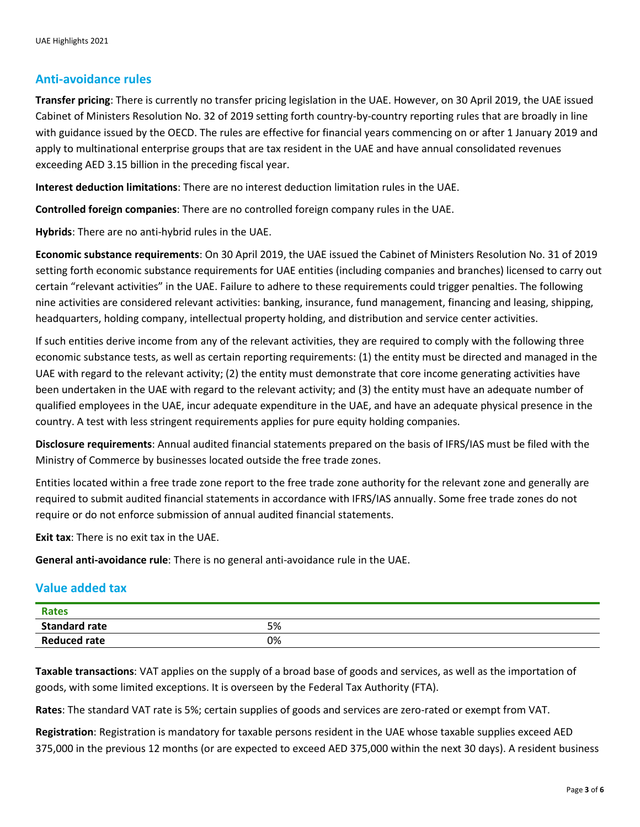#### **Anti-avoidance rules**

**Transfer pricing**: There is currently no transfer pricing legislation in the UAE. However, on 30 April 2019, the UAE issued Cabinet of Ministers Resolution No. 32 of 2019 setting forth country-by-country reporting rules that are broadly in line with guidance issued by the OECD. The rules are effective for financial years commencing on or after 1 January 2019 and apply to multinational enterprise groups that are tax resident in the UAE and have annual consolidated revenues exceeding AED 3.15 billion in the preceding fiscal year.

**Interest deduction limitations**: There are no interest deduction limitation rules in the UAE.

**Controlled foreign companies**: There are no controlled foreign company rules in the UAE.

**Hybrids**: There are no anti-hybrid rules in the UAE.

**Economic substance requirements**: On 30 April 2019, the UAE issued the Cabinet of Ministers Resolution No. 31 of 2019 setting forth economic substance requirements for UAE entities (including companies and branches) licensed to carry out certain "relevant activities" in the UAE. Failure to adhere to these requirements could trigger penalties. The following nine activities are considered relevant activities: banking, insurance, fund management, financing and leasing, shipping, headquarters, holding company, intellectual property holding, and distribution and service center activities.

If such entities derive income from any of the relevant activities, they are required to comply with the following three economic substance tests, as well as certain reporting requirements: (1) the entity must be directed and managed in the UAE with regard to the relevant activity; (2) the entity must demonstrate that core income generating activities have been undertaken in the UAE with regard to the relevant activity; and (3) the entity must have an adequate number of qualified employees in the UAE, incur adequate expenditure in the UAE, and have an adequate physical presence in the country. A test with less stringent requirements applies for pure equity holding companies.

**Disclosure requirements**: Annual audited financial statements prepared on the basis of IFRS/IAS must be filed with the Ministry of Commerce by businesses located outside the free trade zones.

Entities located within a free trade zone report to the free trade zone authority for the relevant zone and generally are required to submit audited financial statements in accordance with IFRS/IAS annually. Some free trade zones do not require or do not enforce submission of annual audited financial statements.

**Exit tax**: There is no exit tax in the UAE.

**General anti-avoidance rule**: There is no general anti-avoidance rule in the UAE.

#### **Value added tax**

| <b>Rates</b>         |    |  |
|----------------------|----|--|
| <b>Standard rate</b> | 5% |  |
| <b>Reduced rate</b>  | 0% |  |

**Taxable transactions**: VAT applies on the supply of a broad base of goods and services, as well as the importation of goods, with some limited exceptions. It is overseen by the Federal Tax Authority (FTA).

**Rates**: The standard VAT rate is 5%; certain supplies of goods and services are zero-rated or exempt from VAT.

**Registration**: Registration is mandatory for taxable persons resident in the UAE whose taxable supplies exceed AED 375,000 in the previous 12 months (or are expected to exceed AED 375,000 within the next 30 days). A resident business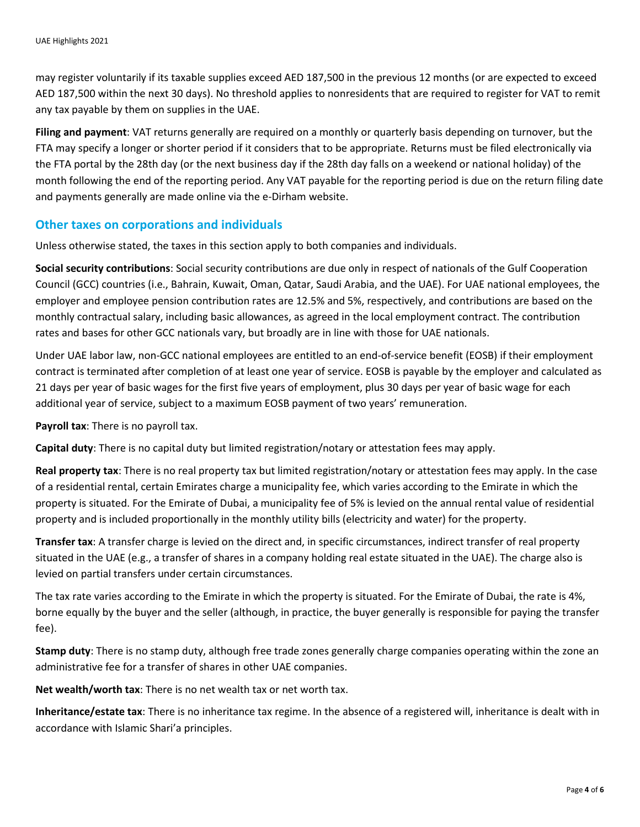may register voluntarily if its taxable supplies exceed AED 187,500 in the previous 12 months (or are expected to exceed AED 187,500 within the next 30 days). No threshold applies to nonresidents that are required to register for VAT to remit any tax payable by them on supplies in the UAE.

**Filing and payment**: VAT returns generally are required on a monthly or quarterly basis depending on turnover, but the FTA may specify a longer or shorter period if it considers that to be appropriate. Returns must be filed electronically via the FTA portal by the 28th day (or the next business day if the 28th day falls on a weekend or national holiday) of the month following the end of the reporting period. Any VAT payable for the reporting period is due on the return filing date and payments generally are made online via the e-Dirham website.

#### **Other taxes on corporations and individuals**

Unless otherwise stated, the taxes in this section apply to both companies and individuals.

**Social security contributions**: Social security contributions are due only in respect of nationals of the Gulf Cooperation Council (GCC) countries (i.e., Bahrain, Kuwait, Oman, Qatar, Saudi Arabia, and the UAE). For UAE national employees, the employer and employee pension contribution rates are 12.5% and 5%, respectively, and contributions are based on the monthly contractual salary, including basic allowances, as agreed in the local employment contract. The contribution rates and bases for other GCC nationals vary, but broadly are in line with those for UAE nationals.

Under UAE labor law, non-GCC national employees are entitled to an end-of-service benefit (EOSB) if their employment contract is terminated after completion of at least one year of service. EOSB is payable by the employer and calculated as 21 days per year of basic wages for the first five years of employment, plus 30 days per year of basic wage for each additional year of service, subject to a maximum EOSB payment of two years' remuneration.

**Payroll tax**: There is no payroll tax.

**Capital duty**: There is no capital duty but limited registration/notary or attestation fees may apply.

**Real property tax**: There is no real property tax but limited registration/notary or attestation fees may apply. In the case of a residential rental, certain Emirates charge a municipality fee, which varies according to the Emirate in which the property is situated. For the Emirate of Dubai, a municipality fee of 5% is levied on the annual rental value of residential property and is included proportionally in the monthly utility bills (electricity and water) for the property.

**Transfer tax**: A transfer charge is levied on the direct and, in specific circumstances, indirect transfer of real property situated in the UAE (e.g., a transfer of shares in a company holding real estate situated in the UAE). The charge also is levied on partial transfers under certain circumstances.

The tax rate varies according to the Emirate in which the property is situated. For the Emirate of Dubai, the rate is 4%, borne equally by the buyer and the seller (although, in practice, the buyer generally is responsible for paying the transfer fee).

**Stamp duty**: There is no stamp duty, although free trade zones generally charge companies operating within the zone an administrative fee for a transfer of shares in other UAE companies.

**Net wealth/worth tax**: There is no net wealth tax or net worth tax.

**Inheritance/estate tax**: There is no inheritance tax regime. In the absence of a registered will, inheritance is dealt with in accordance with Islamic Shari'a principles.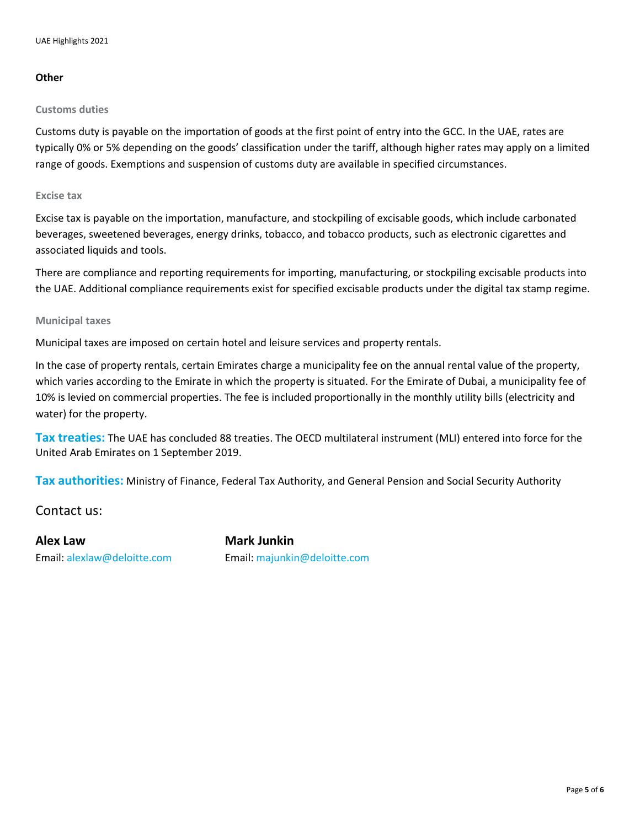#### **Other**

#### **Customs duties**

Customs duty is payable on the importation of goods at the first point of entry into the GCC. In the UAE, rates are typically 0% or 5% depending on the goods' classification under the tariff, although higher rates may apply on a limited range of goods. Exemptions and suspension of customs duty are available in specified circumstances.

#### **Excise tax**

Excise tax is payable on the importation, manufacture, and stockpiling of excisable goods, which include carbonated beverages, sweetened beverages, energy drinks, tobacco, and tobacco products, such as electronic cigarettes and associated liquids and tools.

There are compliance and reporting requirements for importing, manufacturing, or stockpiling excisable products into the UAE. Additional compliance requirements exist for specified excisable products under the digital tax stamp regime.

#### **Municipal taxes**

Municipal taxes are imposed on certain hotel and leisure services and property rentals.

In the case of property rentals, certain Emirates charge a municipality fee on the annual rental value of the property, which varies according to the Emirate in which the property is situated. For the Emirate of Dubai, a municipality fee of 10% is levied on commercial properties. The fee is included proportionally in the monthly utility bills (electricity and water) for the property.

**Tax treaties:** The UAE has concluded 88 treaties. The OECD multilateral instrument (MLI) entered into force for the United Arab Emirates on 1 September 2019.

**Tax authorities:** Ministry of Finance, Federal Tax Authority, and General Pension and Social Security Authority

Contact us:

**Alex Law Mark Junkin** 

Email: [alexlaw@deloitte.com](mailto:alexlaw@deloitte.com) Email: [majunkin@deloitte.com](mailto:majunkin@deloitte.com)